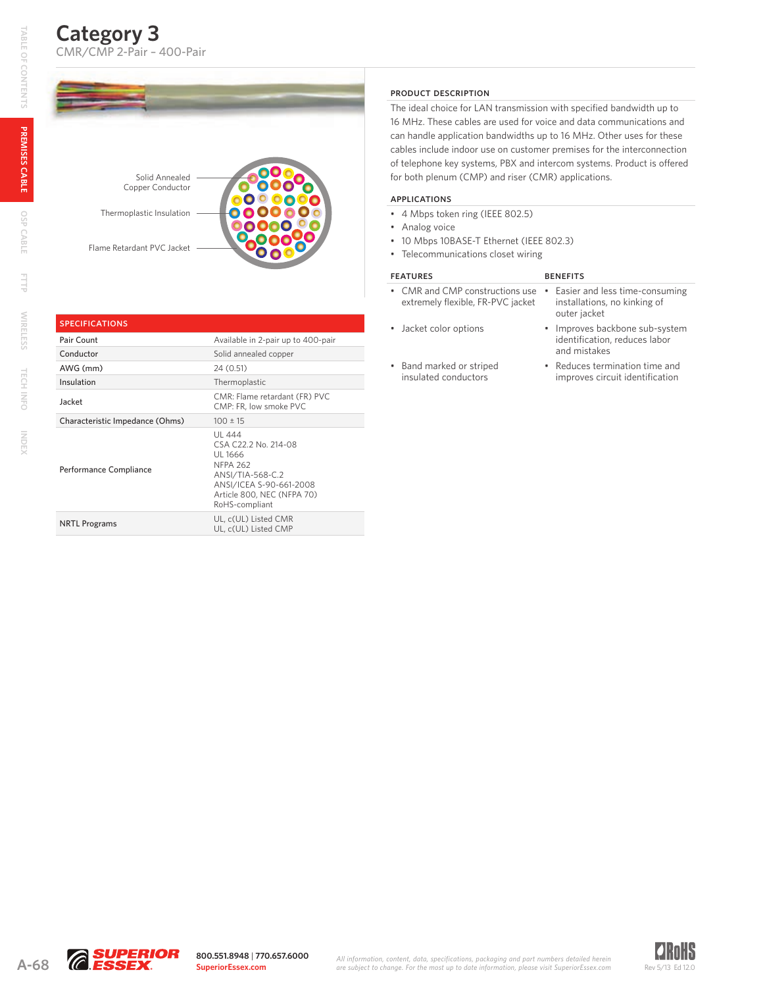**Tech Info**

TECH INFO

**Index**

## **Category 3**  CMR/CMP 2-Pair – 400-Pair



# **SPECIFICATIONS**

| Pair Count                      | Available in 2-pair up to 400-pair                                                                                                                          |
|---------------------------------|-------------------------------------------------------------------------------------------------------------------------------------------------------------|
| Conductor                       | Solid annealed copper                                                                                                                                       |
| AWG (mm)                        | 24 (0.51)                                                                                                                                                   |
| Insulation                      | Thermoplastic                                                                                                                                               |
| Jacket                          | CMR: Flame retardant (FR) PVC<br>CMP: FR, low smoke PVC                                                                                                     |
| Characteristic Impedance (Ohms) | $100 \pm 15$                                                                                                                                                |
| Performance Compliance          | UL 444<br>CSA C22.2 No. 214-08<br>UL 1666<br><b>NFPA 262</b><br>ANSI/TIA-568-C.2<br>ANSI/ICEA S-90-661-2008<br>Article 800, NEC (NFPA 70)<br>RoHS-compliant |
| <b>NRTL Programs</b>            | UL, c(UL) Listed CMR<br>UL, c(UL) Listed CMP                                                                                                                |

#### Product Description

The ideal choice for LAN transmission with specified bandwidth up to 16 MHz. These cables are used for voice and data communications and can handle application bandwidths up to 16 MHz. Other uses for these cables include indoor use on customer premises for the interconnection of telephone key systems, PBX and intercom systems. Product is offered for both plenum (CMP) and riser (CMR) applications.

### Applications

- 4 Mbps token ring (IEEE 802.5)
- Analog voice
- 10 Mbps 10BASE-T Ethernet (IEEE 802.3)
- Telecommunications closet wiring

#### FEATURES BENEFITS

- CMR and CMP constructions use Easier and less time-consuming extremely flexible, FR-PVC jacket
- 
- installations, no kinking of outer jacket • Jacket color options • Improves backbone sub-system
	- identification, reduces labor and mistakes
- Band marked or striped insulated conductors
- Reduces termination time and improves circuit identification